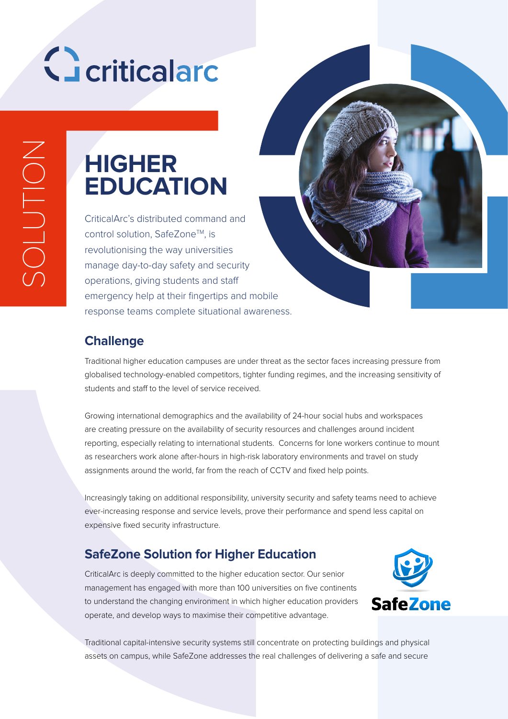# Geriticalard

### **HIGHER EDUCATION**

CriticalArc's distributed command and control solution, SafeZone™, is revolutionising the way universities manage day-to-day safety and security operations, giving students and staff emergency help at their fingertips and mobile response teams complete situational awareness.

#### **Challenge**

Traditional higher education campuses are under threat as the sector faces increasing pressure from globalised technology-enabled competitors, tighter funding regimes, and the increasing sensitivity of students and staff to the level of service received.

Growing international demographics and the availability of 24-hour social hubs and workspaces are creating pressure on the availability of security resources and challenges around incident reporting, especially relating to international students. Concerns for lone workers continue to mount as researchers work alone after-hours in high-risk laboratory environments and travel on study assignments around the world, far from the reach of CCTV and fixed help points.

Increasingly taking on additional responsibility, university security and safety teams need to achieve ever-increasing response and service levels, prove their performance and spend less capital on expensive fixed security infrastructure.

#### **SafeZone Solution for Higher Education**

CriticalArc is deeply committed to the higher education sector. Our senior management has engaged with more than 100 universities on five continents to understand the changing environment in which higher education providers operate, and develop ways to maximise their competitive advantage.



Traditional capital-intensive security systems still concentrate on protecting buildings and physical assets on campus, while SafeZone addresses the real challenges of delivering a safe and secure